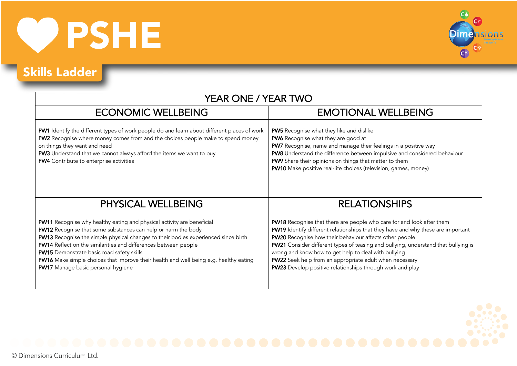

 $\bullet$ **Dimensions C**  $\overline{G}$ 

## Skills Ladder

| <b>YEAR ONE / YEAR TWO</b>                                                                                                                                                                                                                                                                                                                                                                                                                                                   |                                                                                                                                                                                                                                                                                                                                                                                                                                                                                            |  |
|------------------------------------------------------------------------------------------------------------------------------------------------------------------------------------------------------------------------------------------------------------------------------------------------------------------------------------------------------------------------------------------------------------------------------------------------------------------------------|--------------------------------------------------------------------------------------------------------------------------------------------------------------------------------------------------------------------------------------------------------------------------------------------------------------------------------------------------------------------------------------------------------------------------------------------------------------------------------------------|--|
| <b>ECONOMIC WELLBEING</b>                                                                                                                                                                                                                                                                                                                                                                                                                                                    | <b>EMOTIONAL WELLBEING</b>                                                                                                                                                                                                                                                                                                                                                                                                                                                                 |  |
| PW1 Identify the different types of work people do and learn about different places of work<br>PW2 Recognise where money comes from and the choices people make to spend money<br>on things they want and need<br>PW3 Understand that we cannot always afford the items we want to buy<br>PW4 Contribute to enterprise activities                                                                                                                                            | <b>PW5</b> Recognise what they like and dislike<br>PW6 Recognise what they are good at<br>PW7 Recognise, name and manage their feelings in a positive way<br>PW8 Understand the difference between impulsive and considered behaviour<br>PW9 Share their opinions on things that matter to them<br>PW10 Make positive real-life choices (television, games, money)                                                                                                                         |  |
| PHYSICAL WELLBEING                                                                                                                                                                                                                                                                                                                                                                                                                                                           | <b>RELATIONSHIPS</b>                                                                                                                                                                                                                                                                                                                                                                                                                                                                       |  |
| PW11 Recognise why healthy eating and physical activity are beneficial<br>PW12 Recognise that some substances can help or harm the body<br>PW13 Recognise the simple physical changes to their bodies experienced since birth<br>PW14 Reflect on the similarities and differences between people<br>PW15 Demonstrate basic road safety skills<br>PW16 Make simple choices that improve their health and well being e.g. healthy eating<br>PW17 Manage basic personal hygiene | PW18 Recognise that there are people who care for and look after them<br>PW19 Identify different relationships that they have and why these are important<br>PW20 Recognise how their behaviour affects other people<br>PW21 Consider different types of teasing and bullying, understand that bullying is<br>wrong and know how to get help to deal with bullying<br>PW22 Seek help from an appropriate adult when necessary<br>PW23 Develop positive relationships through work and play |  |

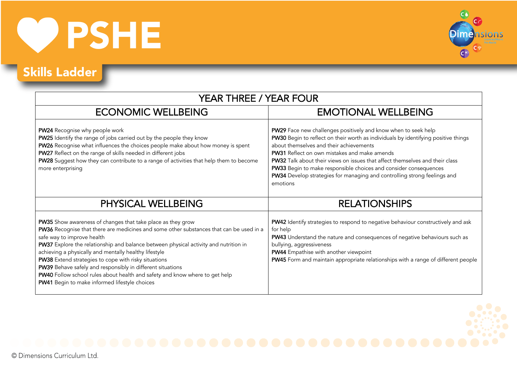

## Skills Ladder

| <b>YEAR THREE / YEAR FOUR</b>                                                                                                                                                                                                                                                                                                                                                                                                                                                                                                                                                               |                                                                                                                                                                                                                                                                                                                                                                                                                                                                                                           |  |
|---------------------------------------------------------------------------------------------------------------------------------------------------------------------------------------------------------------------------------------------------------------------------------------------------------------------------------------------------------------------------------------------------------------------------------------------------------------------------------------------------------------------------------------------------------------------------------------------|-----------------------------------------------------------------------------------------------------------------------------------------------------------------------------------------------------------------------------------------------------------------------------------------------------------------------------------------------------------------------------------------------------------------------------------------------------------------------------------------------------------|--|
| <b>ECONOMIC WELLBEING</b>                                                                                                                                                                                                                                                                                                                                                                                                                                                                                                                                                                   | <b>EMOTIONAL WELLBEING</b>                                                                                                                                                                                                                                                                                                                                                                                                                                                                                |  |
| PW24 Recognise why people work<br>PW25 Identify the range of jobs carried out by the people they know<br>PW26 Recognise what influences the choices people make about how money is spent<br>PW27 Reflect on the range of skills needed in different jobs<br>PW28 Suggest how they can contribute to a range of activities that help them to become<br>more enterprising                                                                                                                                                                                                                     | PW29 Face new challenges positively and know when to seek help<br>PW30 Begin to reflect on their worth as individuals by identifying positive things<br>about themselves and their achievements<br><b>PW31</b> Reflect on own mistakes and make amends<br><b>PW32</b> Talk about their views on issues that affect themselves and their class<br>PW33 Begin to make responsible choices and consider consequences<br>PW34 Develop strategies for managing and controlling strong feelings and<br>emotions |  |
| PHYSICAL WELLBEING                                                                                                                                                                                                                                                                                                                                                                                                                                                                                                                                                                          | <b>RELATIONSHIPS</b>                                                                                                                                                                                                                                                                                                                                                                                                                                                                                      |  |
| PW35 Show awareness of changes that take place as they grow<br>PW36 Recognise that there are medicines and some other substances that can be used in a<br>safe way to improve health<br>PW37 Explore the relationship and balance between physical activity and nutrition in<br>achieving a physically and mentally healthy lifestyle<br>PW38 Extend strategies to cope with risky situations<br>PW39 Behave safely and responsibly in different situations<br>PW40 Follow school rules about health and safety and know where to get help<br>PW41 Begin to make informed lifestyle choices | PW42 Identify strategies to respond to negative behaviour constructively and ask<br>for help<br>PW43 Understand the nature and consequences of negative behaviours such as<br>bullying, aggressiveness<br>PW44 Empathise with another viewpoint<br>PW45 Form and maintain appropriate relationships with a range of different people                                                                                                                                                                      |  |